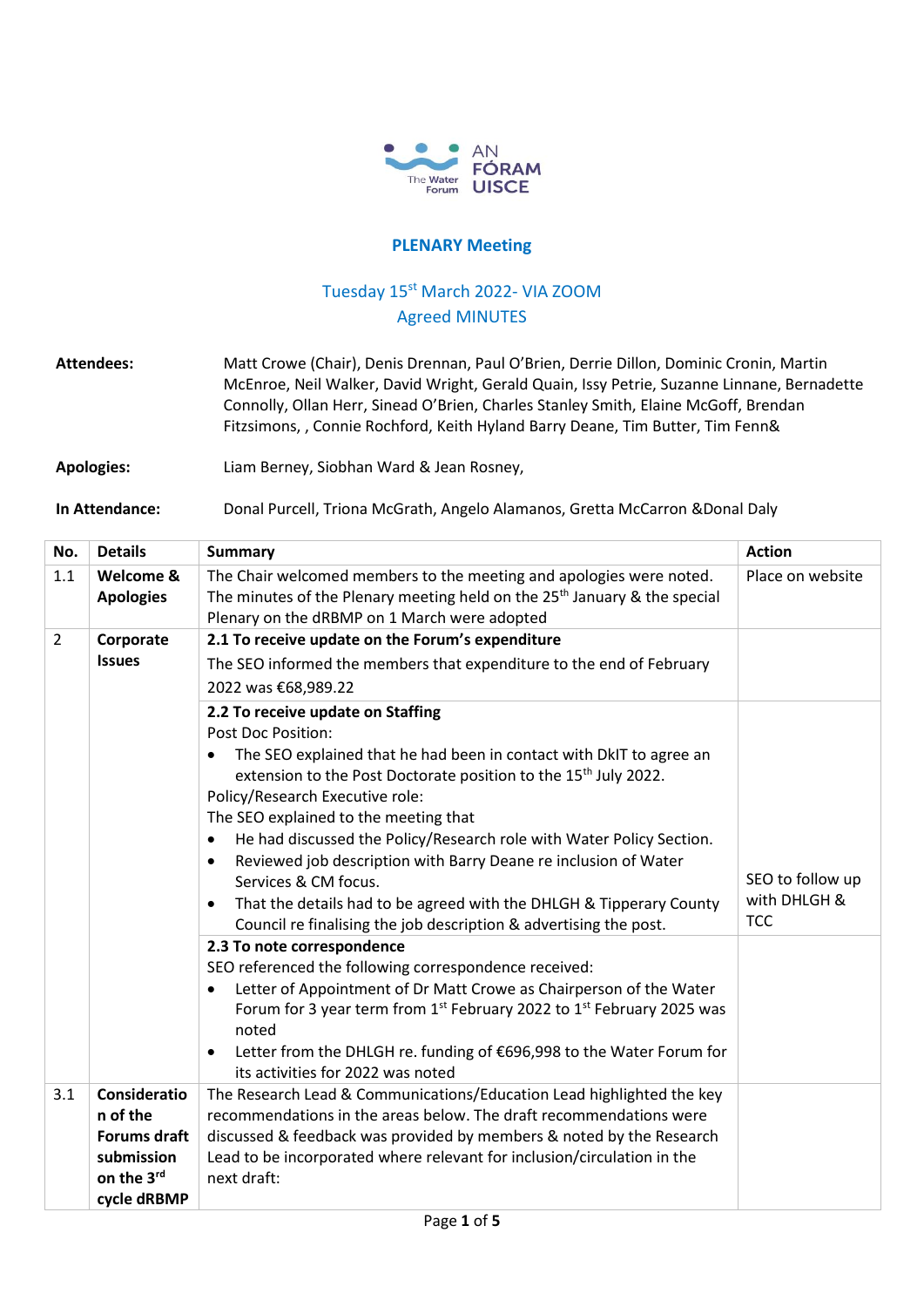

## **PLENARY Meeting**

## Tuesday 15<sup>st</sup> March 2022- VIA ZOOM Agreed MINUTES

**Attendees:** Matt Crowe (Chair), Denis Drennan, Paul O'Brien, Derrie Dillon, Dominic Cronin, Martin McEnroe, Neil Walker, David Wright, Gerald Quain, Issy Petrie, Suzanne Linnane, Bernadette Connolly, Ollan Herr, Sinead O'Brien, Charles Stanley Smith, Elaine McGoff, Brendan Fitzsimons, , Connie Rochford, Keith Hyland Barry Deane, Tim Butter, Tim Fenn&

**Apologies:** Liam Berney, Siobhan Ward & Jean Rosney,

**In Attendance:** Donal Purcell, Triona McGrath, Angelo Alamanos, Gretta McCarron &Donal Daly

| No.            | <b>Details</b>                                                                                    | <b>Summary</b>                                                                                                                                                                                                                                                                                                                                                                                                                                                                                                                                                                                                  | <b>Action</b>                                  |
|----------------|---------------------------------------------------------------------------------------------------|-----------------------------------------------------------------------------------------------------------------------------------------------------------------------------------------------------------------------------------------------------------------------------------------------------------------------------------------------------------------------------------------------------------------------------------------------------------------------------------------------------------------------------------------------------------------------------------------------------------------|------------------------------------------------|
| 1.1            | Welcome &<br><b>Apologies</b>                                                                     | The Chair welcomed members to the meeting and apologies were noted.<br>The minutes of the Plenary meeting held on the 25 <sup>th</sup> January & the special<br>Plenary on the dRBMP on 1 March were adopted                                                                                                                                                                                                                                                                                                                                                                                                    | Place on website                               |
| $\overline{2}$ | Corporate                                                                                         | 2.1 To receive update on the Forum's expenditure                                                                                                                                                                                                                                                                                                                                                                                                                                                                                                                                                                |                                                |
|                | <b>Issues</b>                                                                                     | The SEO informed the members that expenditure to the end of February                                                                                                                                                                                                                                                                                                                                                                                                                                                                                                                                            |                                                |
|                |                                                                                                   | 2022 was €68,989.22                                                                                                                                                                                                                                                                                                                                                                                                                                                                                                                                                                                             |                                                |
|                |                                                                                                   | 2.2 To receive update on Staffing<br><b>Post Doc Position:</b><br>The SEO explained that he had been in contact with DkIT to agree an<br>extension to the Post Doctorate position to the 15 <sup>th</sup> July 2022.<br>Policy/Research Executive role:<br>The SEO explained to the meeting that<br>He had discussed the Policy/Research role with Water Policy Section.<br>Reviewed job description with Barry Deane re inclusion of Water<br>Services & CM focus.<br>That the details had to be agreed with the DHLGH & Tipperary County<br>Council re finalising the job description & advertising the post. | SEO to follow up<br>with DHLGH &<br><b>TCC</b> |
|                |                                                                                                   | 2.3 To note correspondence<br>SEO referenced the following correspondence received:<br>Letter of Appointment of Dr Matt Crowe as Chairperson of the Water<br>Forum for 3 year term from 1 <sup>st</sup> February 2022 to 1 <sup>st</sup> February 2025 was<br>noted<br>Letter from the DHLGH re. funding of €696,998 to the Water Forum for<br>its activities for 2022 was noted                                                                                                                                                                                                                                |                                                |
| 3.1            | <b>Consideratio</b><br>n of the<br><b>Forums draft</b><br>submission<br>on the 3rd<br>cycle dRBMP | The Research Lead & Communications/Education Lead highlighted the key<br>recommendations in the areas below. The draft recommendations were<br>discussed & feedback was provided by members & noted by the Research<br>Lead to be incorporated where relevant for inclusion/circulation in the<br>next draft:                                                                                                                                                                                                                                                                                                   |                                                |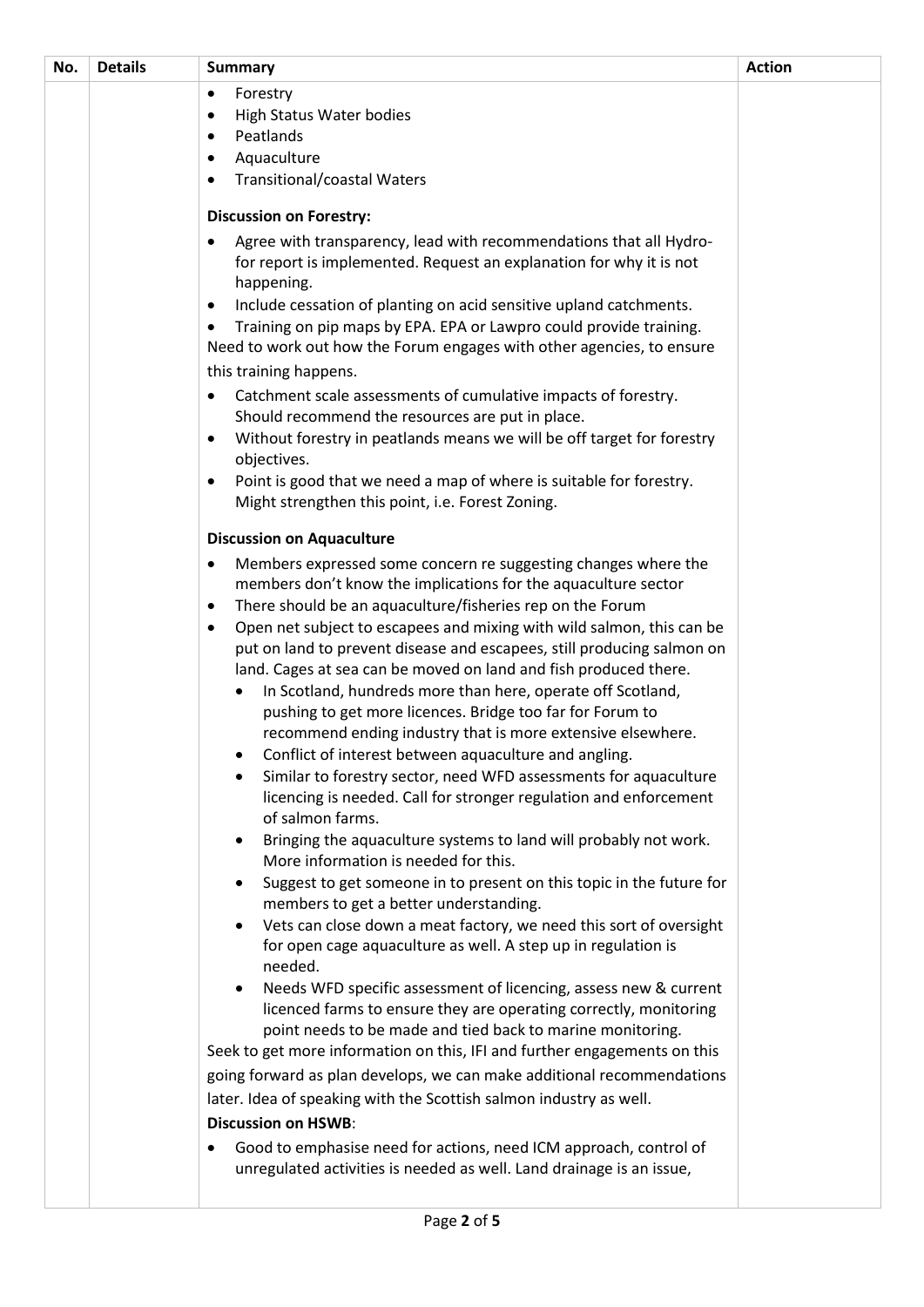| No. | <b>Details</b> | <b>Summary</b>                                                                                                                              | <b>Action</b> |
|-----|----------------|---------------------------------------------------------------------------------------------------------------------------------------------|---------------|
|     |                | Forestry<br>$\bullet$                                                                                                                       |               |
|     |                | High Status Water bodies                                                                                                                    |               |
|     |                | Peatlands<br>٠                                                                                                                              |               |
|     |                | Aquaculture<br>$\bullet$                                                                                                                    |               |
|     |                | <b>Transitional/coastal Waters</b>                                                                                                          |               |
|     |                | <b>Discussion on Forestry:</b>                                                                                                              |               |
|     |                | Agree with transparency, lead with recommendations that all Hydro-                                                                          |               |
|     |                | for report is implemented. Request an explanation for why it is not                                                                         |               |
|     |                | happening.                                                                                                                                  |               |
|     |                | Include cessation of planting on acid sensitive upland catchments.<br>$\bullet$                                                             |               |
|     |                | Training on pip maps by EPA. EPA or Lawpro could provide training.<br>Need to work out how the Forum engages with other agencies, to ensure |               |
|     |                | this training happens.                                                                                                                      |               |
|     |                | Catchment scale assessments of cumulative impacts of forestry.                                                                              |               |
|     |                | Should recommend the resources are put in place.                                                                                            |               |
|     |                | Without forestry in peatlands means we will be off target for forestry                                                                      |               |
|     |                | objectives.                                                                                                                                 |               |
|     |                | Point is good that we need a map of where is suitable for forestry.<br>$\bullet$                                                            |               |
|     |                | Might strengthen this point, i.e. Forest Zoning.                                                                                            |               |
|     |                | <b>Discussion on Aquaculture</b>                                                                                                            |               |
|     |                | Members expressed some concern re suggesting changes where the<br>٠                                                                         |               |
|     |                | members don't know the implications for the aquaculture sector                                                                              |               |
|     |                | There should be an aquaculture/fisheries rep on the Forum<br>٠                                                                              |               |
|     |                | Open net subject to escapees and mixing with wild salmon, this can be<br>$\bullet$                                                          |               |
|     |                | put on land to prevent disease and escapees, still producing salmon on                                                                      |               |
|     |                | land. Cages at sea can be moved on land and fish produced there.<br>In Scotland, hundreds more than here, operate off Scotland,             |               |
|     |                | pushing to get more licences. Bridge too far for Forum to                                                                                   |               |
|     |                | recommend ending industry that is more extensive elsewhere.                                                                                 |               |
|     |                | Conflict of interest between aquaculture and angling.                                                                                       |               |
|     |                | Similar to forestry sector, need WFD assessments for aquaculture                                                                            |               |
|     |                | licencing is needed. Call for stronger regulation and enforcement                                                                           |               |
|     |                | of salmon farms.                                                                                                                            |               |
|     |                | Bringing the aquaculture systems to land will probably not work.<br>$\bullet$                                                               |               |
|     |                | More information is needed for this.<br>Suggest to get someone in to present on this topic in the future for<br>$\bullet$                   |               |
|     |                | members to get a better understanding.                                                                                                      |               |
|     |                | Vets can close down a meat factory, we need this sort of oversight                                                                          |               |
|     |                | for open cage aquaculture as well. A step up in regulation is                                                                               |               |
|     |                | needed.                                                                                                                                     |               |
|     |                | Needs WFD specific assessment of licencing, assess new & current                                                                            |               |
|     |                | licenced farms to ensure they are operating correctly, monitoring                                                                           |               |
|     |                | point needs to be made and tied back to marine monitoring.<br>Seek to get more information on this, IFI and further engagements on this     |               |
|     |                | going forward as plan develops, we can make additional recommendations                                                                      |               |
|     |                | later. Idea of speaking with the Scottish salmon industry as well.                                                                          |               |
|     |                | <b>Discussion on HSWB:</b>                                                                                                                  |               |
|     |                | Good to emphasise need for actions, need ICM approach, control of                                                                           |               |
|     |                | unregulated activities is needed as well. Land drainage is an issue,                                                                        |               |
|     |                |                                                                                                                                             |               |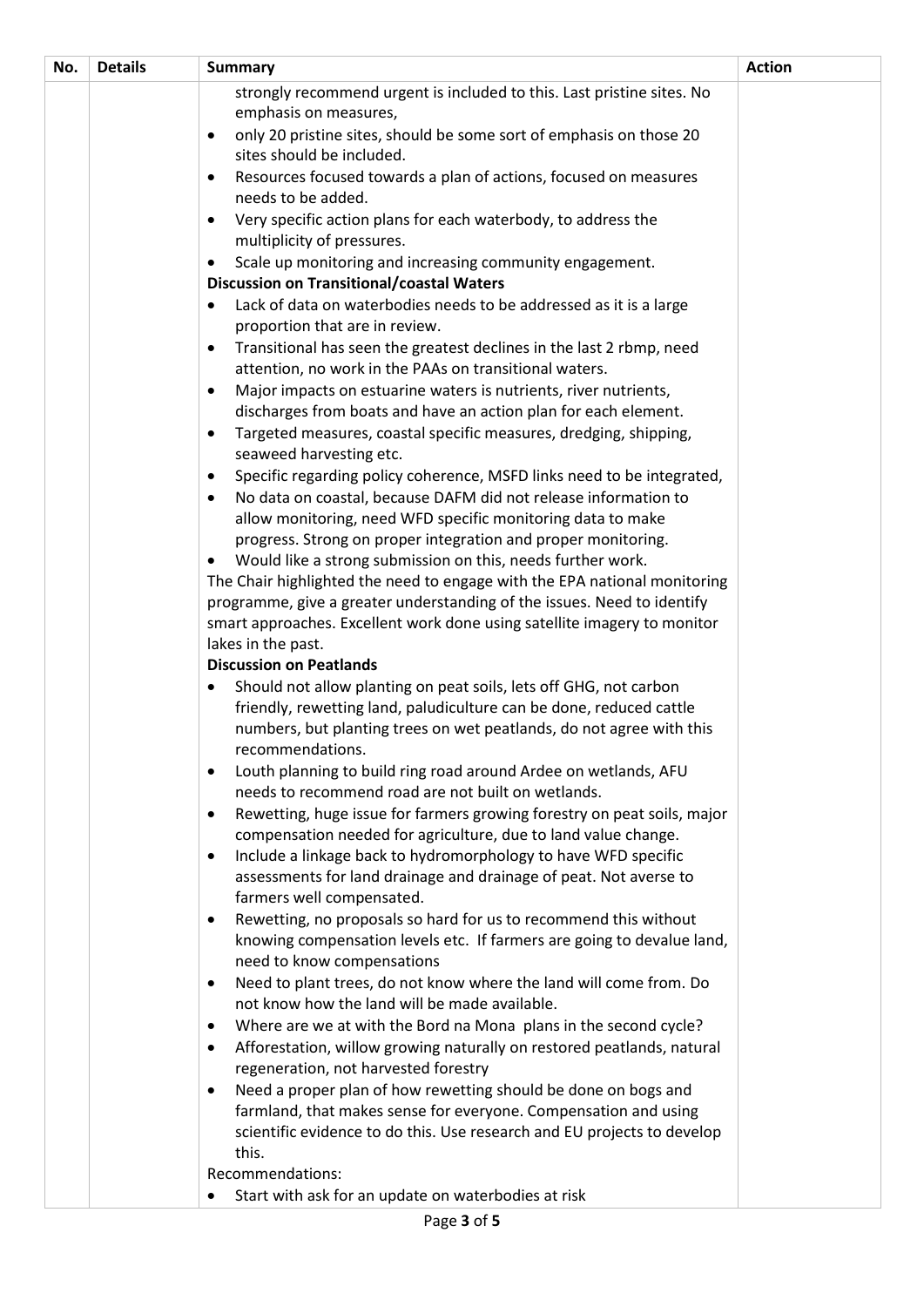| No. | <b>Details</b> | <b>Summary</b>                                                                                                                 | <b>Action</b> |
|-----|----------------|--------------------------------------------------------------------------------------------------------------------------------|---------------|
|     |                | strongly recommend urgent is included to this. Last pristine sites. No                                                         |               |
|     |                | emphasis on measures,                                                                                                          |               |
|     |                | only 20 pristine sites, should be some sort of emphasis on those 20<br>$\bullet$                                               |               |
|     |                | sites should be included.                                                                                                      |               |
|     |                | Resources focused towards a plan of actions, focused on measures                                                               |               |
|     |                | needs to be added.                                                                                                             |               |
|     |                | Very specific action plans for each waterbody, to address the<br>$\bullet$                                                     |               |
|     |                | multiplicity of pressures.                                                                                                     |               |
|     |                | Scale up monitoring and increasing community engagement.                                                                       |               |
|     |                | <b>Discussion on Transitional/coastal Waters</b>                                                                               |               |
|     |                | Lack of data on waterbodies needs to be addressed as it is a large                                                             |               |
|     |                | proportion that are in review.                                                                                                 |               |
|     |                | Transitional has seen the greatest declines in the last 2 rbmp, need<br>$\bullet$                                              |               |
|     |                | attention, no work in the PAAs on transitional waters.                                                                         |               |
|     |                | Major impacts on estuarine waters is nutrients, river nutrients,                                                               |               |
|     |                | discharges from boats and have an action plan for each element.                                                                |               |
|     |                | Targeted measures, coastal specific measures, dredging, shipping,<br>$\bullet$                                                 |               |
|     |                | seaweed harvesting etc.<br>Specific regarding policy coherence, MSFD links need to be integrated,                              |               |
|     |                |                                                                                                                                |               |
|     |                | No data on coastal, because DAFM did not release information to<br>allow monitoring, need WFD specific monitoring data to make |               |
|     |                | progress. Strong on proper integration and proper monitoring.                                                                  |               |
|     |                | Would like a strong submission on this, needs further work.                                                                    |               |
|     |                | The Chair highlighted the need to engage with the EPA national monitoring                                                      |               |
|     |                | programme, give a greater understanding of the issues. Need to identify                                                        |               |
|     |                | smart approaches. Excellent work done using satellite imagery to monitor                                                       |               |
|     |                | lakes in the past.                                                                                                             |               |
|     |                | <b>Discussion on Peatlands</b>                                                                                                 |               |
|     |                | Should not allow planting on peat soils, lets off GHG, not carbon                                                              |               |
|     |                | friendly, rewetting land, paludiculture can be done, reduced cattle                                                            |               |
|     |                | numbers, but planting trees on wet peatlands, do not agree with this                                                           |               |
|     |                | recommendations.                                                                                                               |               |
|     |                | Louth planning to build ring road around Ardee on wetlands, AFU<br>$\bullet$                                                   |               |
|     |                | needs to recommend road are not built on wetlands.                                                                             |               |
|     |                | Rewetting, huge issue for farmers growing forestry on peat soils, major<br>$\bullet$                                           |               |
|     |                | compensation needed for agriculture, due to land value change.                                                                 |               |
|     |                | Include a linkage back to hydromorphology to have WFD specific<br>$\bullet$                                                    |               |
|     |                | assessments for land drainage and drainage of peat. Not averse to                                                              |               |
|     |                | farmers well compensated.                                                                                                      |               |
|     |                | Rewetting, no proposals so hard for us to recommend this without<br>$\bullet$                                                  |               |
|     |                | knowing compensation levels etc. If farmers are going to devalue land,                                                         |               |
|     |                | need to know compensations                                                                                                     |               |
|     |                | Need to plant trees, do not know where the land will come from. Do<br>$\bullet$                                                |               |
|     |                | not know how the land will be made available.                                                                                  |               |
|     |                | Where are we at with the Bord na Mona plans in the second cycle?<br>٠                                                          |               |
|     |                | Afforestation, willow growing naturally on restored peatlands, natural<br>$\bullet$<br>regeneration, not harvested forestry    |               |
|     |                | Need a proper plan of how rewetting should be done on bogs and<br>$\bullet$                                                    |               |
|     |                | farmland, that makes sense for everyone. Compensation and using                                                                |               |
|     |                | scientific evidence to do this. Use research and EU projects to develop                                                        |               |
|     |                | this.                                                                                                                          |               |
|     |                | Recommendations:                                                                                                               |               |
|     |                | Start with ask for an update on waterbodies at risk                                                                            |               |